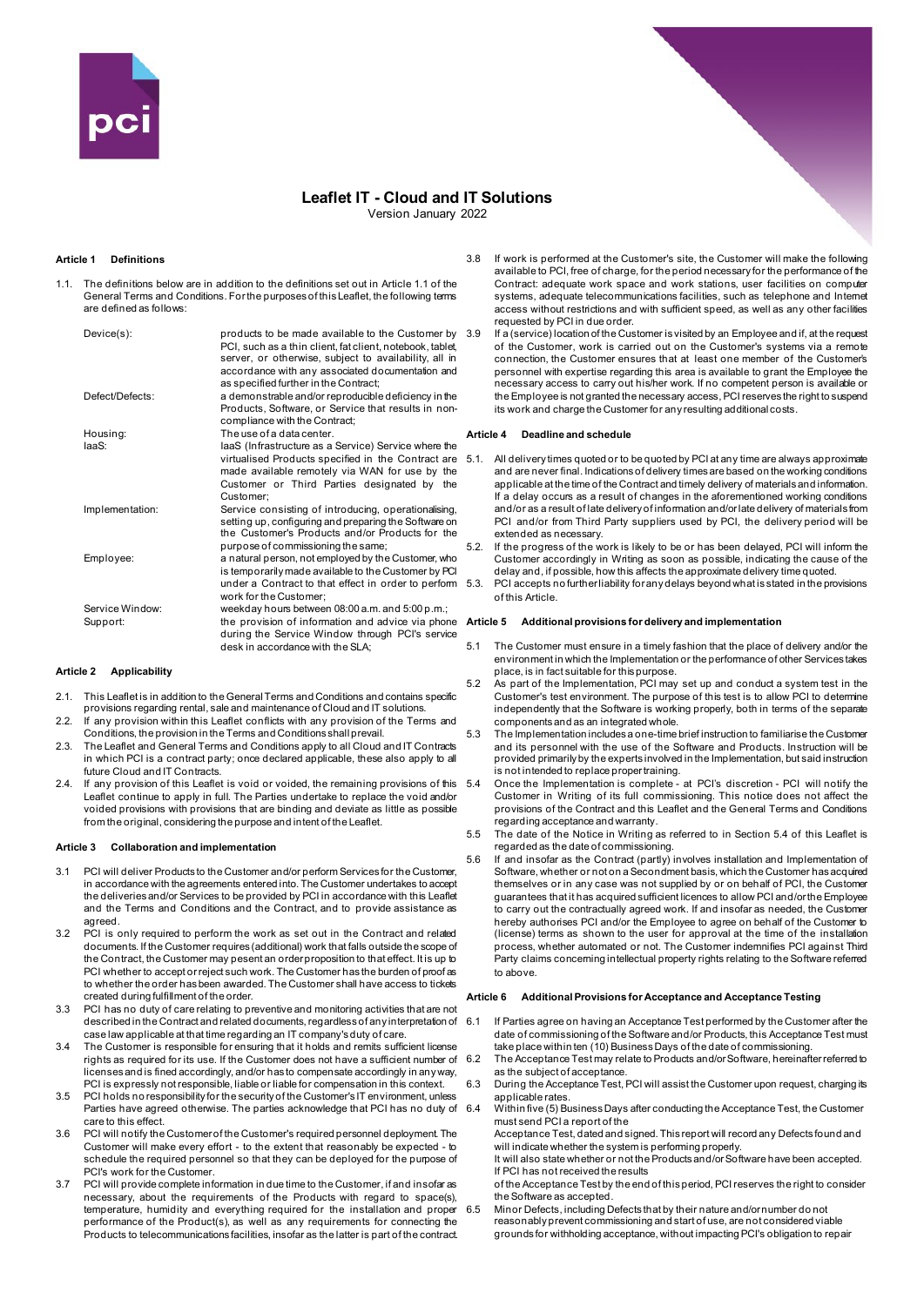

# **Leaflet IT - Cloud and IT Solutions**

Version January 2022

## **Article 1 Definitions**

1.1. The definitions below are in addition to the definitions set out in Article 1.1 of the General Terms and Conditions. For the purposes of this Leaflet, the following terms are defined as follows:

| Device(s):                  | products to be made available to the Customer by<br>PCI, such as a thin client, fat client, notebook, tablet,<br>server, or otherwise, subject to availability, all in<br>accordance with any associated documentation and<br>as specified further in the Contract; |
|-----------------------------|---------------------------------------------------------------------------------------------------------------------------------------------------------------------------------------------------------------------------------------------------------------------|
| Defect/Defects:             | a demonstrable and/or reproducible deficiency in the<br>Products, Software, or Service that results in non-<br>compliance with the Contract;                                                                                                                        |
| Housing:                    | The use of a data center.                                                                                                                                                                                                                                           |
| laaS:                       | laaS (Infrastructure as a Service) Service where the<br>virtualised Products specified in the Contract are<br>made available remotely via WAN for use by the<br>Customer or Third Parties designated by the<br>Customer:                                            |
| Implementation:             | Service consisting of introducing, operationalising,<br>setting up, configuring and preparing the Software on<br>the Customer's Products and/or Products for the<br>purpose of commissioning the same;                                                              |
| Employee:                   | a natural person, not employed by the Customer, who<br>is temporarily made available to the Customer by PCI<br>under a Contract to that effect in order to perform<br>work for the Customer:                                                                        |
| Service Window:<br>Support: | weekday hours between 08:00 a.m. and 5:00 p.m.;<br>the provision of information and advice via phone<br>during the Service Window through PCI's service<br>desk in accordance with the SLA;                                                                         |

#### **Article 2 Applicability**

- 2.1. This Leaflet is in addition to the General Terms and Conditions and contains specific provisions regarding rental, sale and maintenance of Cloud and IT solutions.
- 2.2. If any provision within this Leaflet conflicts with any provision of the Terms and Conditions, the provision in the Terms and Conditions shall prevail.
- 2.3. The Leaflet and General Terms and Conditions apply to all Cloud and IT Contracts in which PCI is a contract party; once declared applicable, these also apply to all future Cloud and IT Contracts.
- 2.4. If any provision of this Leaflet is void or voided, the remaining provisions of this 5.4 Leaflet continue to apply in full. The Parties undertake to replace the void and/or voided provisions with provisions that are binding and deviate as little as possible from the original, considering the purpose and intent of the Leaflet.

#### **Article 3 Collaboration and implementation**

- 3.1 PCI will deliver Products to the Customer and/or perform Services for the Customer, in accordance with the agreements entered into. The Customer undertakes to accept the deliveries and/or Services to be provided by PCI in accordance with this Leaflet and the Terms and Conditions and the Contract, and to provide assistance as agreed.
- 3.2 PCI is only required to perform the work as set out in the Contract and related documents. If the Customer requires (additional) work that falls outside the scope of the Contract, the Customer may pesent an order proposition to that effect. It is up to PCI whether to accept or reject such work. The Customer has the burden of proof as to whether the order has been awarded. The Customer shall have access to tickets created during fulfillment of the order.
- 3.3 PCI has no duty of care relating to preventive and monitoring activities that are not described in the Contract and related documents, regardless of any interpretation of case law applicable at that time regarding an IT company's duty of care.
- 3.4 The Customer is responsible for ensuring that it holds and remits sufficient license rights as required for its use. If the Customer does not have a sufficient number of licenses and is fined accordingly, and/or has to compensate accordingly in any way, PCI is expressly not responsible, liable or liable for compensation in this context.
- 3.5 PCI holds no responsibility for the security of the Customer's IT environment, unless Parties have agreed otherwise. The parties acknowledge that PCI has no duty of care to this effect.
- 3.6 PCI will notify the Customer of the Customer's required personnel deployment. The Customer will make every effort - to the extent that reasonably be expected - to schedule the required personnel so that they can be deployed for the purpose of PCI's work for the Customer.
- 3.7 PCI will provide complete information in due time to the Customer, if and insofar as necessary, about the requirements of the Products with regard to space(s), temperature, humidity and everything required for the installation and proper performance of the Product(s), as well as any requirements for connecting the Products to telecommunications facilities, insofar as the latter is part of the contract.
- 3.8 If work is performed at the Customer's site, the Customer will make the following available to PCI, free of charge, for the period necessary for the performance of the Contract: adequate work space and work stations, user facilities on computer systems, adequate telecommunications facilities, such as telephone and Internet access without restrictions and with sufficient speed, as well as any other facilities requested by PCI in due order.
- 3.9 If a (service) location of the Customer is visited by an Employee and if, at the request of the Customer, work is carried out on the Customer's systems via a remote connection, the Customer ensures that at least one member of the Customer's personnel with expertise regarding this area is available to grant the Employee the necessary access to carry out his/her work. If no competent person is available or the Employee is not granted the necessary access, PCI reserves the right to suspend its work and charge the Customer for any resulting additional costs.

### **Article 4 Deadline and schedule**

- 5.1. All delivery times quoted or to be quoted by PCI at any time are always approximate and are never final. Indications of delivery times are based on the working conditions applicable at the time of the Contract and timely delivery of materials and information. If a delay occurs as a result of changes in the aforementioned working conditions and/or as a result of late delivery of information and/or late delivery of materials from PCI and/or from Third Party suppliers used by PCI, the delivery period will be extended as necessary.
- 5.2. If the progress of the work is likely to be or has been delayed, PCI will inform the Customer accordingly in Writing as soon as possible, indicating the cause of the delay and, if possible, how this affects the approximate delivery time quoted.
- 5.3. PCI accepts no further liability for any delays beyond what is stated in the provisions of this Article.

#### **Article 5 Additional provisions for delivery and implementation**

- 5.1 The Customer must ensure in a timely fashion that the place of delivery and/or the environment in which the Implementation or the performance of other Services takes place, is in fact suitable for this purpose.
- 5.2 As part of the Implementation, PCI may set up and conduct a system test in the Customer's test environment. The purpose of this test is to allow PCI to determine independently that the Software is working properly, both in terms of the separate components and as an integrated whole.
- 5.3 The Implementation includes a one-time brief instruction to familiarise the Customer and its personnel with the use of the Software and Products. Instruction will be provided primarily by the experts involved in the Implementation, but said instruction is not intended to replace proper training.
- 5.4 Once the Implementation is complete at PCI's discretion PCI will notify the Customer in Writing of its full commissioning. This notice does not affect the provisions of the Contract and this Leaflet and the General Terms and Conditions regarding acceptance and warranty.
- 5.5 The date of the Notice in Writing as referred to in Section 5.4 of this Leaflet is regarded as the date of commissioning.
- 5.6 If and insofar as the Contract (partly) involves installation and Implementation of Software, whether or not on a Secondment basis, which the Customer has acquired themselves or in any case was not supplied by or on behalf of PCI, the Customer guarantees that it has acquired sufficient licences to allow PCI and/or the Employee to carry out the contractually agreed work. If and insofar as needed, the Customer hereby authorises PCI and/or the Employee to agree on behalf of the Customer to (license) terms as shown to the user for approval at the time of the installation process, whether automated or not. The Customer indemnifies PCI against Third Party claims concerning intellectual property rights relating to the Software referred to above.

#### **Article 6 Additional Provisions for Acceptance and Acceptance Testing**

- 6.1 If Parties agree on having an Acceptance Test performed by the Customer after the date of commissioning of the Software and/or Products, this Acceptance Test must take place within ten (10) Business Days of the date of commissioning. 6.2 The Acceptance Test may relate to Products and/or Software, hereinafter referred to
- as the subject of acceptance. During the Acceptance Test, PCI will assist the Customer upon request, charging its
- applicable rates. 6.4 Within five (5) Business Days after conducting the Acceptance Test, the Customer

must send PCI a report of the Acceptance Test, dated and signed. This report will record any Defects found and

will indicate whether the system is performing properly. It will also state whether or not the Products and/or Software have been accepted.

If PCI has not received the results

of the Acceptance Test by the end of this period, PCI reserves the right to consider the Software as accepted.

Minor Defects, including Defects that by their nature and/or number do not reasonably prevent commissioning and start of use, are not considered viable grounds for withholding acceptance, without impacting PCI's obligation to repair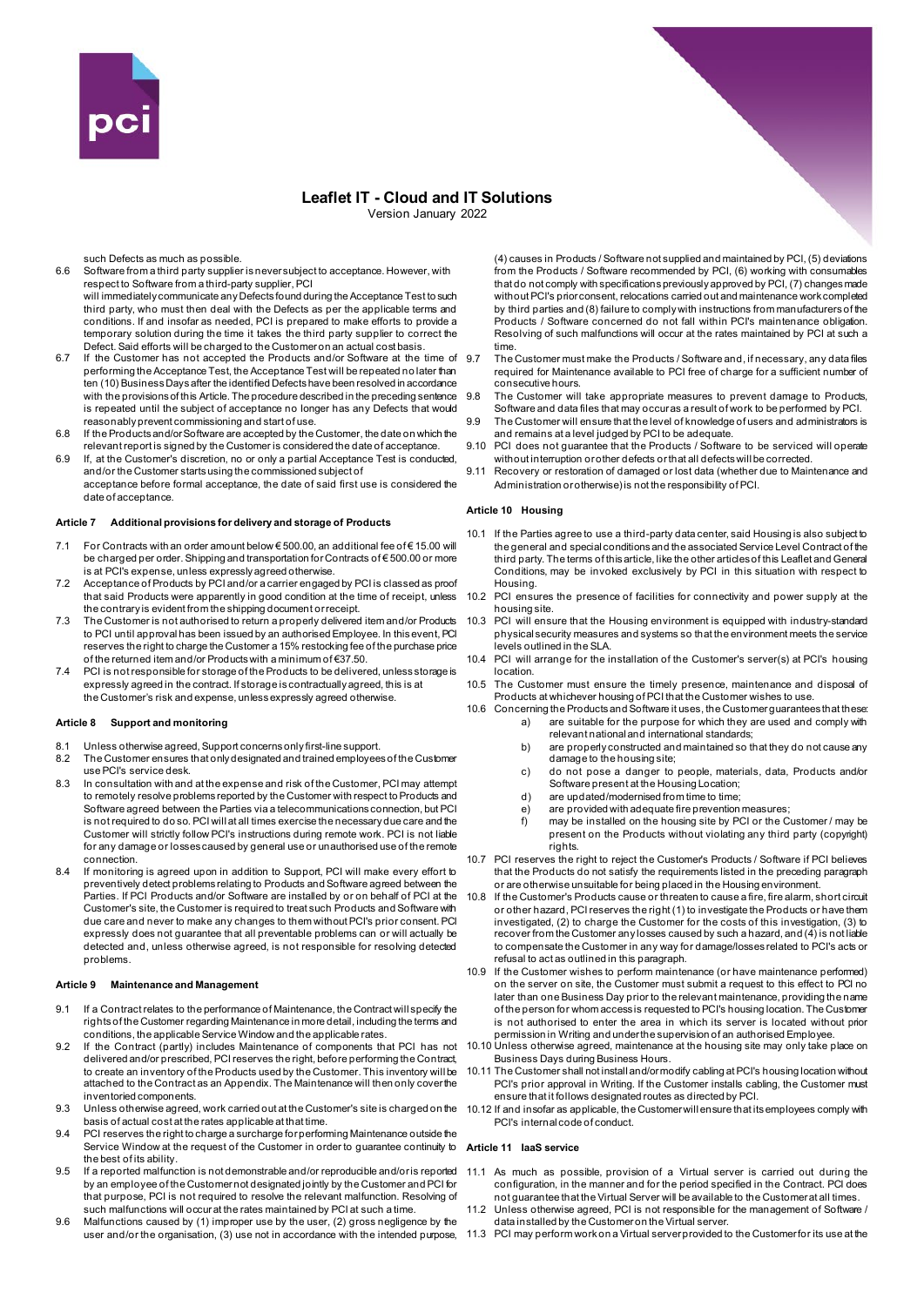

## **Leaflet IT - Cloud and IT Solutions** Version January 2022

such Defects as much as possible.

6.6 Software from a third party supplier is never subject to acceptance. However, with respect to Software from a third-party supplier, PCI

will immediately communicate any Defects found during the Acceptance Test to such third party, who must then deal with the Defects as per the applicable terms and conditions. If and insofar as needed, PCI is prepared to make efforts to provide a temporary solution during the time it takes the third party supplier to correct the Defect. Said efforts will be charged to the Customer on an actual cost basis.

- 6.7 If the Customer has not accepted the Products and/or Software at the time of performing the Acceptance Test, the Acceptance Test will be repeated no later than ten (10) Business Days after the identified Defects have been resolved in accordance with the provisions of this Article. The procedure described in the preceding sentence is repeated until the subject of acceptance no longer has any Defects that would reasonably prevent commissioning and start of use.
- 6.8 If the Products and/or Software are accepted by the Customer, the date on which the relevant report is signed by the Customer is considered the date of acceptance.
- 6.9 If, at the Customer's discretion, no or only a partial Acceptance Test is conducted, and/or the Customer starts using the commissioned subject of acceptance before formal acceptance, the date of said first use is considered the date of acceptance

#### **Article 7 Additional provisions for delivery and storage of Products**

- 7.1 For Contracts with an order amount below € 500.00, an additional fee of € 15.00 will be charged per order. Shipping and transportation for Contracts of € 500.00 or more is at PCI's expense, unless expressly agreed otherwise.
- 7.2 Acceptance of Products by PCI and/or a carrier engaged by PCI is classed as proof that said Products were apparently in good condition at the time of receipt, unless the contrary is evident from the shipping document or receipt.
- 7.3 The Customer is not authorised to return a properly delivered item and/or Products to PCI until approval has been issued by an authorised Employee. In this event, PCI reserves the right to charge the Customer a 15% restocking fee of the purchase price of the returned item and/or Products with a minimum of €37.50.
- 7.4 PCI is not responsible for storage of the Products to be delivered, unless storage is expressly agreed in the contract. If storage is contractually agreed, this is at the Customer's risk and expense, unless expressly agreed otherwise.

#### **Article 8 Support and monitoring**

- 8.1 Unless otherwise agreed, Support concerns only first-line support.
- 8.2 The Customer ensures that only designated and trained employees of the Customer use PCI's service desk.
- 8.3 In consultation with and at the expense and risk of the Customer, PCI may attempt to remotely resolve problems reported by the Customer with respect to Products and Software agreed between the Parties via a telecommunications connection, but PCI is not required to do so. PCI will at all times exercise the necessary due care and the Customer will strictly follow PCI's instructions during remote work. PCI is not liable for any damage or losses caused by general use or unauthorised use of the remote connection.
- 8.4 If monitoring is agreed upon in addition to Support, PCI will make every effort to preventively detect problems relating to Products and Software agreed between the Parties. If PCI Products and/or Software are installed by or on behalf of PCI at the Customer's site, the Customer is required to treat such Products and Software with due care and never to make any changes to them without PCI's prior consent. PCI expressly does not guarantee that all preventable problems can or will actually be detected and, unless otherwise agreed, is not responsible for resolving detected problems.

#### **Article 9 Maintenance and Management**

- 9.1 If a Contract relates to the performance of Maintenance, the Contract will specify the rights of the Customer regarding Maintenance in more detail, including the terms and conditions, the applicable Service Window and the applicable rates.
- 9.2 If the Contract (partly) includes Maintenance of components that PCI has not delivered and/or prescribed, PCI reserves the right, before performing the Contract, to create an inventory of the Products used by the Customer. This inventory will be attached to the Contract as an Appendix. The Maintenance will then only cover the inventoried components.
- 9.3 Unless otherwise agreed, work carried out at the Customer's site is charged on the 10.12 If and insofar as applicable, the Customer will ensure that its employees comply with basis of actual cost at the rates applicable at that time.
- 9.4 PCI reserves the right to charge a surcharge for performing Maintenance outside the Service Window at the request of the Customer in order to quarantee continuity to the best of its ability.
- 9.5 If a reported malfunction is not demonstrable and/or reproducible and/or is reported by an employee of the Customer not designated jointly by the Customer and PCI for that purpose, PCI is not required to resolve the relevant malfunction. Resolving of such malfunctions will occur at the rates maintained by PCI at such a time.
- 9.6 Malfunctions caused by (1) improper use by the user, (2) gross negligence by the

(4) causes in Products / Software not supplied and maintained by PCI, (5) deviations from the Products / Software recommended by PCI, (6) working with consumables that do not comply with specifications previously approved by PCI, (7) changes made without PCI's prior consent, relocations carried out and maintenance work completed by third parties and (8) failure to comply with instructions from manufacturers of the Products / Software concerned do not fall within PCI's maintenance obligation. Resolving of such malfunctions will occur at the rates maintained by PCI at such a time.

- 9.7 The Customer must make the Products / Software and, if necessary, any data files required for Maintenance available to PCI free of charge for a sufficient number of consecutive hours.
- 9.8 The Customer will take appropriate measures to prevent damage to Products, Software and data files that may occur as a result of work to be performed by PCI.
- The Customer will ensure that the level of knowledge of users and administrators is and remains at a level judged by PCI to be adequate.
- 9.10 PCI does not guarantee that the Products / Software to be serviced will operate without interruption or other defects or that all defects will be corrected.
- 9.11 Recovery or restoration of damaged or lost data (whether due to Maintenance and Administration or otherwise) is not the responsibility of PCI.

#### **Article 10 Housing**

- 10.1 If the Parties agree to use a third-party data center, said Housing is also subject to the general and special conditions and the associated Service Level Contract of the third party. The terms of this article, like the other articles of this Leaflet and General Conditions, may be invoked exclusively by PCI in this situation with respect to Housing.
- 10.2 PCI ensures the presence of facilities for connectivity and power supply at the housing site.
- 10.3 PCI will ensure that the Housing environment is equipped with industry-standard physical security measures and systems so that the environment meets the service levels outlined in the SLA.
- 10.4 PCI will arrange for the installation of the Customer's server(s) at PCI's housing location.
- 10.5 The Customer must ensure the timely presence, maintenance and disposal of Products at whichever housing of PCI that the Customer wishes to use.
- 10.6 Concerning the Products and Software it uses, the Customer guarantees that these: a) are suitable for the purpose for which they are used and comply with
	- relevant national and international standards; b) are properly constructed and maintained so that they do not cause any damage to the housing site;
	- c) do not pose a danger to people, materials, data, Products and/or Software present at the Housing Location;
	- d) are updated/modernised from time to time;
	- e) are provided with adequate fire prevention measures;<br>f) may be installed on the housing site by PCI or the C
	- may be installed on the housing site by PCI or the Customer / may be present on the Products without violating any third party (copyright) rights.
- 10.7 PCI reserves the right to reject the Customer's Products / Software if PCI believes that the Products do not satisfy the requirements listed in the preceding paragraph or are otherwise unsuitable for being placed in the Housing environment.
- If the Customer's Products cause or threaten to cause a fire, fire alarm, short circuit or other hazard, PCI reserves the right (1) to investigate the Products or have them investigated, (2) to charge the Customer for the costs of this investigation, (3) to recover from the Customer any losses caused by such a hazard, and (4) is not liable to compensate the Customer in any way for damage/losses related to PCI's acts or refusal to act as outlined in this paragraph.
- 10.9 If the Customer wishes to perform maintenance (or have maintenance performed) on the server on site, the Customer must submit a request to this effect to PCI no later than one Business Day prior to the relevant maintenance, providing the name of the person for whom access is requested to PCI's housing location. The Customer is not authorised to enter the area in which its server is located without prior permission in Writing and under the supervision of an authorised Employee.
- 10.10 Unless otherwise agreed, maintenance at the housing site may only take place on Business Days during Business Hours.
- 10.11 The Customer shall not install and/or modify cabling at PCI's housing location without PCI's prior approval in Writing. If the Customer installs cabling, the Customer must ensure that it follows designated routes as directed by PCI.
- PCI's internal code of conduct.

#### **Article 11 IaaS service**

- 11.1 As much as possible, provision of a Virtual server is carried out during the configuration, in the manner and for the period specified in the Contract. PCI does not guarantee that the Virtual Server will be available to the Customer at all times.
- Unless otherwise agreed, PCI is not responsible for the management of Software / data installed by the Customer on the Virtual server.
- user and/or the organisation, (3) use not in accordance with the intended purpose,  $\,$  11.3  $\,$  PCI may perform work on a Virtual server provided to the Customer for its use at the

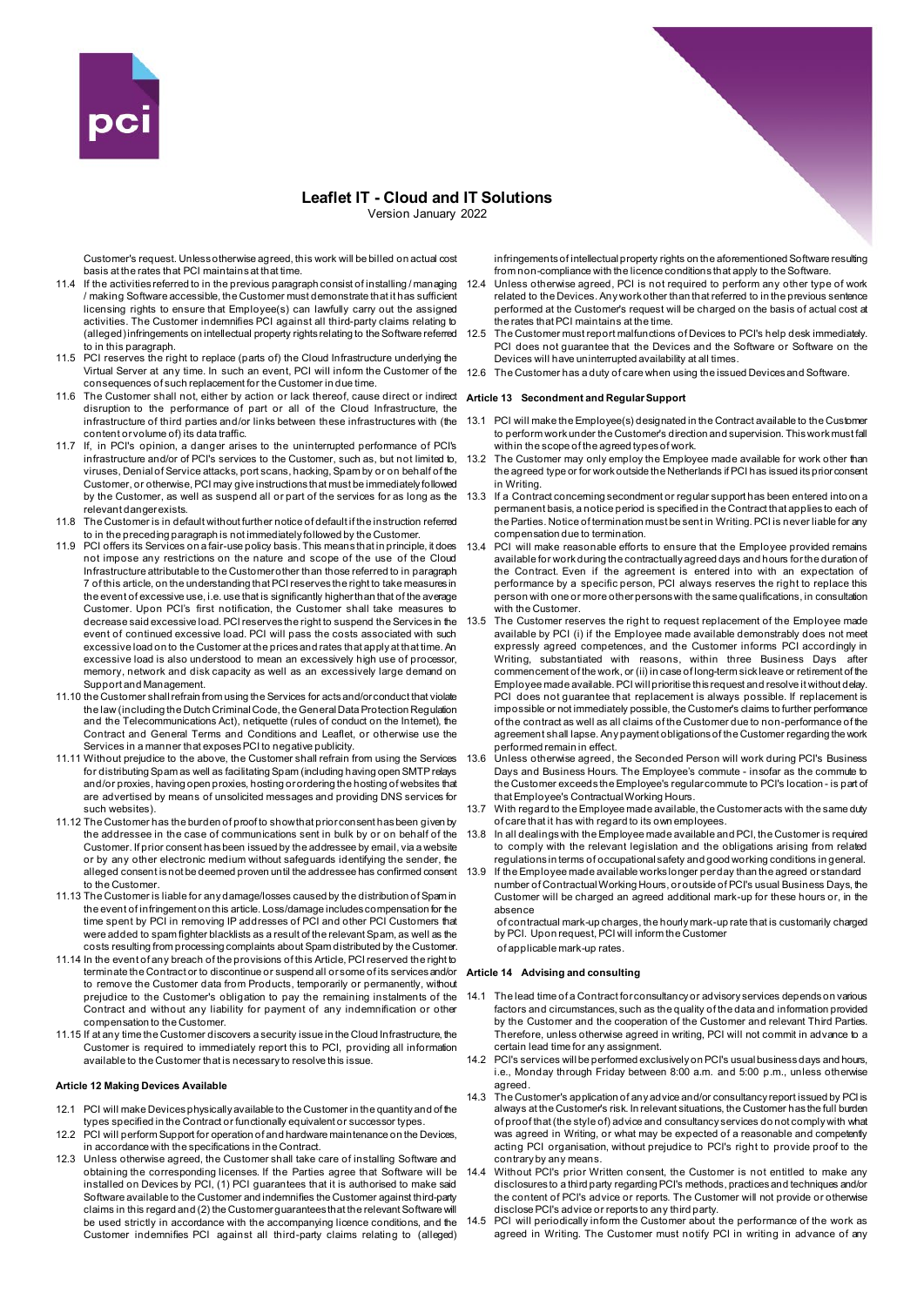

## **Leaflet IT - Cloud and IT Solutions** Version January 2022

Customer's request. Unless otherwise agreed, this work will be billed on actual cost basis at the rates that PCI maintains at that time.

- 11.4 If the activities referred to in the previous paragraph consist of installing / managing / making Software accessible, the Customer must demonstrate that it has sufficient licensing rights to ensure that Employee(s) can lawfully carry out the assigned activities. The Customer indemnifies PCI against all third-party claims relating to (alleged) infringements on intellectual property rights relating to the Software referred to in this paragraph.
- 11.5 PCI reserves the right to replace (parts of) the Cloud Infrastructure underlying the consequences of such replacement for the Customer in due time.
- 11.6 The Customer shall not, either by action or lack thereof, cause direct or indirect **Article 13 Secondment and Regular Support** disruption to the performance of part or all of the Cloud Infrastructure, the infrastructure of third parties and/or links between these infrastructures with (the content or volume of) its data traffic.
- 11.7 If, in PCI's opinion, a danger arises to the uninterrupted performance of PCI's infrastructure and/or of PCI's services to the Customer, such as, but not limited to, viruses, Denial of Service attacks, port scans, hacking, Spam by or on behalf of the Customer, or otherwise, PCI may give instructions that must be immediately followed by the Customer, as well as suspend all or part of the services for as long as the relevant danger exists.
- 11.8 The Customer is in default without further notice of default if the instruction referred to in the preceding paragraph is not immediately followed by the Customer.
- 11.9 PCI offers its Services on a fair-use policy basis. This means that in principle, it does 13.4 not impose any restrictions on the nature and scope of the use of the Cloud Infrastructure attributable to the Customer other than those referred to in paragraph 7 of this article, on the understanding that PCI reserves the right to take measures in the event of excessive use, i.e. use that is significantly higher than that of the average Customer. Upon PCI's first notification, the Customer shall take measures to decrease said excessive load. PCI reserves the right to suspend the Services in the event of continued excessive load. PCI will pass the costs associated with such excessive load on to the Customer at the prices and rates that apply at that time. An excessive load is also understood to mean an excessively high use of processor, memory, network and disk capacity as well as an excessively large demand on Support and Management.
- 11.10 the Customer shall refrain from using the Services for acts and/or conduct that violate the law (including the Dutch Criminal Code, the General Data Protection Regulation and the Telecommunications Act), netiquette (rules of conduct on the Internet), the Contract and General Terms and Conditions and Leaflet, or otherwise use the Services in a manner that exposes PCI to negative publicity.
- 11.11 Without prejudice to the above, the Customer shall refrain from using the Services for distributing Spam as well as facilitating Spam (including having open SMTP relays and/or proxies, having open proxies, hosting or ordering the hosting of websites that are advertised by means of unsolicited messages and providing DNS services for such websites).
- 11.12 The Customer has the burden of proof to show that prior consent has been given by the addressee in the case of communications sent in bulk by or on behalf of the Customer. If prior consent has been issued by the addressee by email, via a website or by any other electronic medium without safeguards identifying the sender, the alleged consent is not be deemed proven until the addressee has confirmed consent to the Customer.
- 11.13 The Customer is liable for any damage/losses caused by the distribution of Spam in the event of infringement on this article. Loss/damage includes compensation for the time spent by PCI in removing IP addresses of PCI and other PCI Customers that were added to spam fighter blacklists as a result of the relevant Spam, as well as the costs resulting from processing complaints about Spam distributed by the Customer.
- 11.14 In the event of any breach of the provisions of this Article, PCI reserved the right to terminate the Contract or to discontinue or suspend all or some of its services and/or to remove the Customer data from Products, temporarily or permanently, without prejudice to the Customer's obligation to pay the remaining instalments of the Contract and without any liability for payment of any indemnification or other compensation to the Customer.
- 11.15 If at any time the Customer discovers a security issue in the Cloud Infrastructure, the Customer is required to immediately report this to PCI, providing all information available to the Customer that is necessary to resolve this issue.

#### **Article 12 Making Devices Available**

- 12.1 PCI will make Devices physically available to the Customer in the quantity and of the types specified in the Contract or functionally equivalent or successor types.
- 12.2 PCI will perform Support for operation of and hardware maintenance on the Devices, in accordance with the specifications in the Contract.
- 12.3 Unless otherwise agreed, the Customer shall take care of installing Software and obtaining the corresponding licenses. If the Parties agree that Software will be installed on Devices by PCI, (1) PCI guarantees that it is authorised to make said Software available to the Customer and indemnifies the Customer against third-party claims in this regard and (2) the Customer guarantees that the relevant Software will be used strictly in accordance with the accompanying licence conditions, and the Customer indemnifies PCI against all third-party claims relating to (alleged)

infringements of intellectual property rights on the aforementioned Software resulting from non-compliance with the licence conditions that apply to the Software.

- 12.4 Unless otherwise agreed, PCI is not required to perform any other type of work related to the Devices. Any work other than that referred to in the previous sentence performed at the Customer's request will be charged on the basis of actual cost at the rates that PCI maintains at the time.
- 12.5 The Customer must report malfunctions of Devices to PCI's help desk immediately. PCI does not guarantee that the Devices and the Software or Software on the Devices will have uninterrupted availability at all times.
- Virtual Server at any time. In such an event, PCI will inform the Customer of the 12.6 The Customer has a duty of care when using the issued Devices and Software.

- 13.1 PCI will make the Employee(s) designated in the Contract available to the Customer to perform work under the Customer's direction and supervision. This work must fall within the scope of the agreed types of work.
- 13.2 The Customer may only employ the Employee made available for work other than the agreed type or for work outside the Netherlands if PCI has issued its prior consent in Writing.
- If a Contract concerning secondment or regular support has been entered into on a permanent basis, a notice period is specified in the Contract that applies to each of the Parties. Notice of termination must be sent in Writing. PCI is never liable for any compensation due to termination.
- PCI will make reasonable efforts to ensure that the Employee provided remains available for work during the contractually agreed days and hours for the duration of the Contract. Even if the agreement is entered into with an expectation of performance by a specific person, PCI always reserves the right to replace this person with one or more other persons with the same qualifications, in consultation with the Customer.
- 13.5 The Customer reserves the right to request replacement of the Employee made available by PCI (i) if the Employee made available demonstrably does not meet expressly agreed competences, and the Customer informs PCI accordingly in Writing, substantiated with reasons, within three Business Days after commencement of the work, or (ii) in case of long-term sick leave or retirement of the Employee made available. PCI will prioritise this request and resolve it without delay. PCI does not guarantee that replacement is always possible. If replacement is impossible or not immediately possible, the Customer's claims to further performance of the contract as well as all claims of the Customer due to non-performance of the agreement shall lapse. Any payment obligations of the Customer regarding the work performed remain in effect.
- 13.6 Unless otherwise agreed, the Seconded Person will work during PCI's Business Days and Business Hours. The Employee's commute - insofar as the commute to the Customer exceeds the Employee's regular commute to PCI's location - is part of that Employee's Contractual Working Hours.
- 13.7 With regard to the Employee made available, the Customer acts with the same duty of care that it has with regard to its own employees.
- 13.8 In all dealings with the Employee made available and PCI, the Customer is required to comply with the relevant legislation and the obligations arising from related regulations in terms of occupational safety and good working conditions in general.
- 13.9 If the Employee made available works longer per day than the agreed or standard number of Contractual Working Hours, or outside of PCI's usual Business Days, the Customer will be charged an agreed additional mark-up for these hours or, in the absence

of contractual mark-up charges, the hourly mark-up rate that is customarily charged by PCI. Upon request, PCI will inform the Customer of applicable mark-up rates.

#### **Article 14 Advising and consulting**

- 14.1 The lead time of a Contract for consultancy or advisory services depends on various factors and circumstances, such as the quality of the data and information provided by the Customer and the cooperation of the Customer and relevant Third Parties. Therefore, unless otherwise agreed in writing, PCI will not commit in advance to a certain lead time for any assignment.
- 14.2 PCI's services will be performed exclusively on PCI's usual business days and hours, i.e., Monday through Friday between 8:00 a.m. and 5:00 p.m., unless otherwise agreed.
- 14.3 The Customer's application of any advice and/or consultancy report issued by PCI is always at the Customer's risk. In relevant situations, the Customer has the full burden of proof that (the style of) advice and consultancy services do not comply with what was agreed in Writing, or what may be expected of a reasonable and competently acting PCI organisation, without prejudice to PCI's right to provide proof to the contrary by any means.
- 14.4 Without PCI's prior Written consent, the Customer is not entitled to make any disclosures to a third party regarding PCI's methods, practices and techniques and/or the content of PCI's advice or reports. The Customer will not provide or otherwise disclose PCI's advice or reports to any third party.
- 14.5 PCI will periodically inform the Customer about the performance of the work as agreed in Writing. The Customer must notify PCI in writing in advance of any